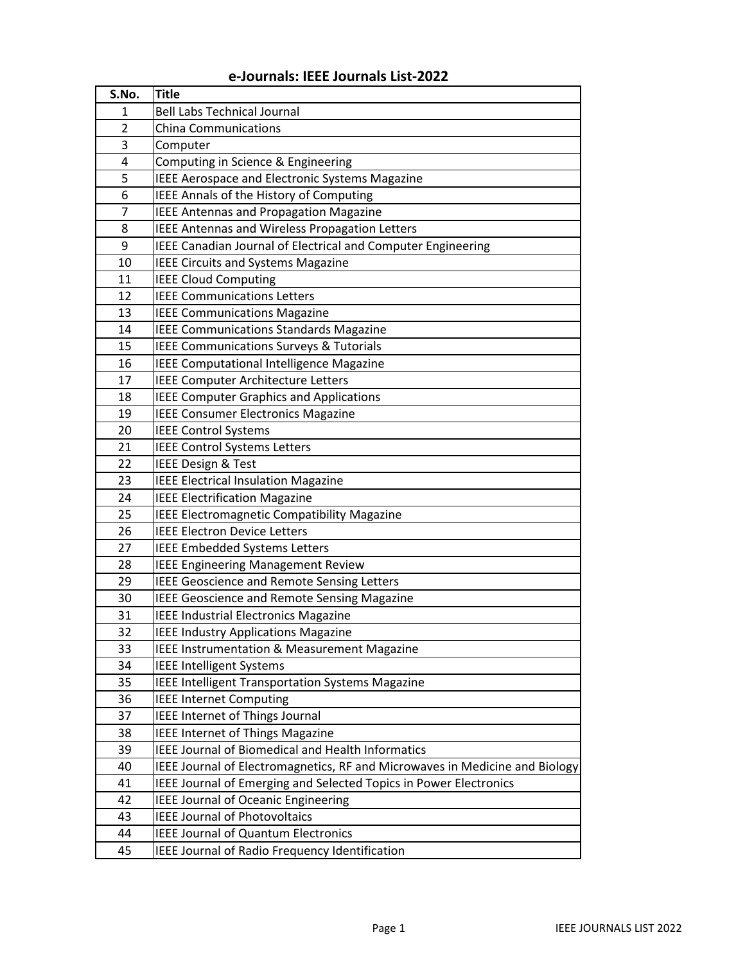## **e-Journals: IEEE Journals List-2022**

| S.No.          | <b>Title</b>                                                                |
|----------------|-----------------------------------------------------------------------------|
| 1              | <b>Bell Labs Technical Journal</b>                                          |
| 2              | <b>China Communications</b>                                                 |
| 3              | Computer                                                                    |
| 4              | Computing in Science & Engineering                                          |
| 5              | <b>IEEE Aerospace and Electronic Systems Magazine</b>                       |
| 6              | IEEE Annals of the History of Computing                                     |
| $\overline{7}$ | <b>IEEE Antennas and Propagation Magazine</b>                               |
| 8              | IEEE Antennas and Wireless Propagation Letters                              |
| 9              | IEEE Canadian Journal of Electrical and Computer Engineering                |
| 10             | <b>IEEE Circuits and Systems Magazine</b>                                   |
| 11             | <b>IEEE Cloud Computing</b>                                                 |
| 12             | <b>IEEE Communications Letters</b>                                          |
| 13             | <b>IEEE Communications Magazine</b>                                         |
| 14             | <b>IEEE Communications Standards Magazine</b>                               |
| 15             | IEEE Communications Surveys & Tutorials                                     |
| 16             | IEEE Computational Intelligence Magazine                                    |
| 17             | <b>IEEE Computer Architecture Letters</b>                                   |
| 18             | <b>IEEE Computer Graphics and Applications</b>                              |
| 19             | <b>IEEE Consumer Electronics Magazine</b>                                   |
| 20             | <b>IEEE Control Systems</b>                                                 |
| 21             | <b>IEEE Control Systems Letters</b>                                         |
| 22             | <b>IEEE Design &amp; Test</b>                                               |
| 23             | <b>IEEE Electrical Insulation Magazine</b>                                  |
| 24             | <b>IEEE Electrification Magazine</b>                                        |
| 25             | IEEE Electromagnetic Compatibility Magazine                                 |
| 26             | <b>IEEE Electron Device Letters</b>                                         |
| 27             | <b>IEEE Embedded Systems Letters</b>                                        |
| 28             | <b>IEEE Engineering Management Review</b>                                   |
| 29             | <b>IEEE Geoscience and Remote Sensing Letters</b>                           |
| 30             | <b>IEEE Geoscience and Remote Sensing Magazine</b>                          |
| 31             | <b>IEEE Industrial Electronics Magazine</b>                                 |
| 32             | <b>IEEE Industry Applications Magazine</b>                                  |
| 33             | IEEE Instrumentation & Measurement Magazine                                 |
| 34             | <b>IEEE Intelligent Systems</b>                                             |
| 35             | IEEE Intelligent Transportation Systems Magazine                            |
| 36             | <b>IEEE Internet Computing</b>                                              |
| 37             | IEEE Internet of Things Journal                                             |
| 38             | <b>IEEE Internet of Things Magazine</b>                                     |
| 39             | <b>IEEE Journal of Biomedical and Health Informatics</b>                    |
| 40             | IEEE Journal of Electromagnetics, RF and Microwaves in Medicine and Biology |
| 41             | IEEE Journal of Emerging and Selected Topics in Power Electronics           |
| 42             | <b>IEEE Journal of Oceanic Engineering</b>                                  |
| 43             | <b>IEEE Journal of Photovoltaics</b>                                        |
| 44             | <b>IEEE Journal of Quantum Electronics</b>                                  |
| 45             | IEEE Journal of Radio Frequency Identification                              |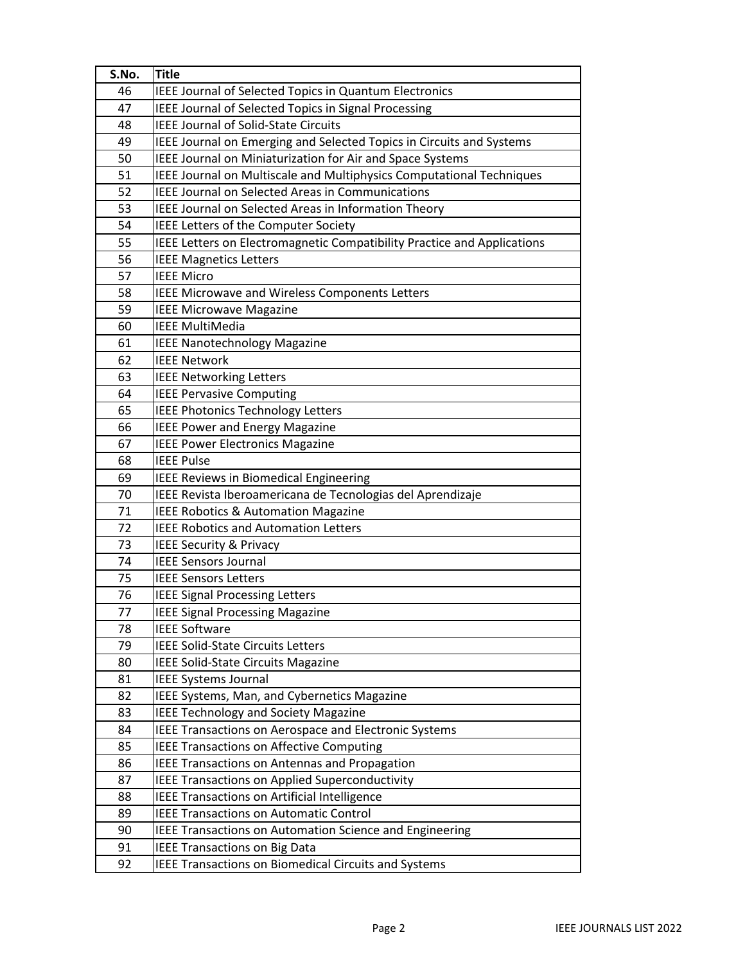| S.No. | <b>Title</b>                                                            |
|-------|-------------------------------------------------------------------------|
| 46    | IEEE Journal of Selected Topics in Quantum Electronics                  |
| 47    | IEEE Journal of Selected Topics in Signal Processing                    |
| 48    | <b>IEEE Journal of Solid-State Circuits</b>                             |
| 49    | IEEE Journal on Emerging and Selected Topics in Circuits and Systems    |
| 50    | IEEE Journal on Miniaturization for Air and Space Systems               |
| 51    | IEEE Journal on Multiscale and Multiphysics Computational Techniques    |
| 52    | <b>IEEE Journal on Selected Areas in Communications</b>                 |
| 53    | IEEE Journal on Selected Areas in Information Theory                    |
| 54    | IEEE Letters of the Computer Society                                    |
| 55    | IEEE Letters on Electromagnetic Compatibility Practice and Applications |
| 56    | <b>IEEE Magnetics Letters</b>                                           |
| 57    | <b>IEEE Micro</b>                                                       |
| 58    | IEEE Microwave and Wireless Components Letters                          |
| 59    | <b>IEEE Microwave Magazine</b>                                          |
| 60    | <b>IEEE MultiMedia</b>                                                  |
| 61    | <b>IEEE Nanotechnology Magazine</b>                                     |
| 62    | <b>IEEE Network</b>                                                     |
| 63    | <b>IEEE Networking Letters</b>                                          |
| 64    | <b>IEEE Pervasive Computing</b>                                         |
| 65    | <b>IEEE Photonics Technology Letters</b>                                |
| 66    | <b>IEEE Power and Energy Magazine</b>                                   |
| 67    | <b>IEEE Power Electronics Magazine</b>                                  |
| 68    | <b>IEEE Pulse</b>                                                       |
| 69    | IEEE Reviews in Biomedical Engineering                                  |
| 70    | IEEE Revista Iberoamericana de Tecnologias del Aprendizaje              |
| 71    | <b>IEEE Robotics &amp; Automation Magazine</b>                          |
| 72    | <b>IEEE Robotics and Automation Letters</b>                             |
| 73    | <b>IEEE Security &amp; Privacy</b>                                      |
| 74    | <b>IEEE Sensors Journal</b>                                             |
| 75    | <b>IEEE Sensors Letters</b>                                             |
| 76    | <b>IEEE Signal Processing Letters</b>                                   |
| 77    | <b>IEEE Signal Processing Magazine</b>                                  |
| 78    | <b>IEEE Software</b>                                                    |
| 79    | <b>IEEE Solid-State Circuits Letters</b>                                |
| 80    | IEEE Solid-State Circuits Magazine                                      |
| 81    | <b>IEEE Systems Journal</b>                                             |
| 82    | IEEE Systems, Man, and Cybernetics Magazine                             |
| 83    | <b>IEEE Technology and Society Magazine</b>                             |
| 84    | IEEE Transactions on Aerospace and Electronic Systems                   |
| 85    | <b>IEEE Transactions on Affective Computing</b>                         |
| 86    | IEEE Transactions on Antennas and Propagation                           |
| 87    | <b>IEEE Transactions on Applied Superconductivity</b>                   |
| 88    | IEEE Transactions on Artificial Intelligence                            |
| 89    | <b>IEEE Transactions on Automatic Control</b>                           |
| 90    | IEEE Transactions on Automation Science and Engineering                 |
| 91    | <b>IEEE Transactions on Big Data</b>                                    |
| 92    | <b>IEEE Transactions on Biomedical Circuits and Systems</b>             |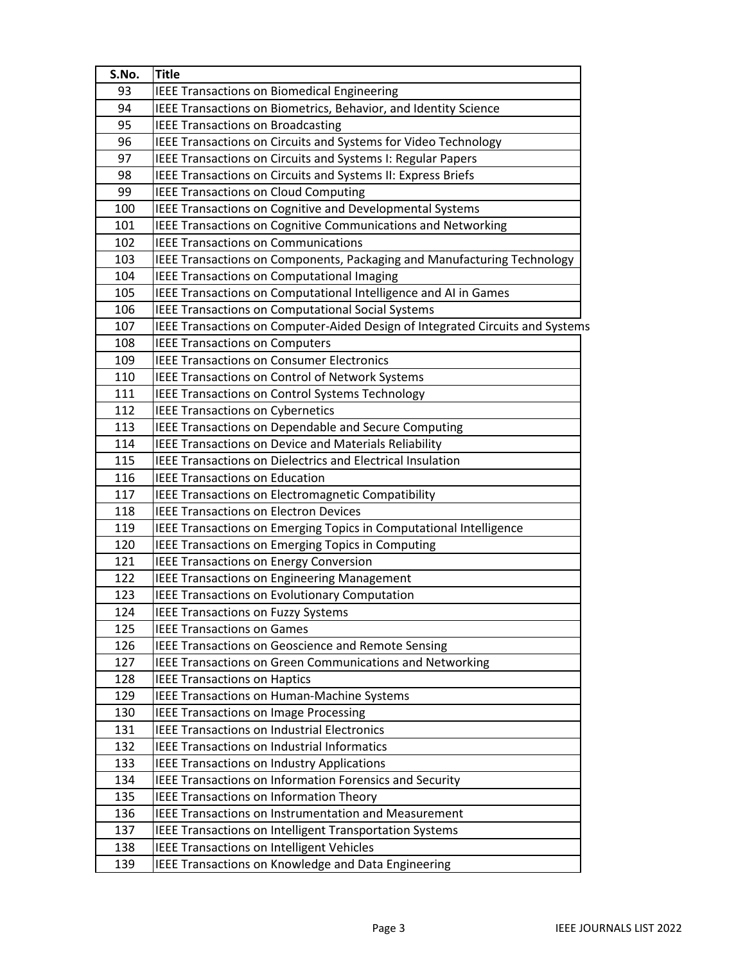| 93<br><b>IEEE Transactions on Biomedical Engineering</b><br>IEEE Transactions on Biometrics, Behavior, and Identity Science<br>94<br>95<br><b>IEEE Transactions on Broadcasting</b><br>96<br><b>IEEE Transactions on Circuits and Systems for Video Technology</b><br>97<br>IEEE Transactions on Circuits and Systems I: Regular Papers<br>98<br>IEEE Transactions on Circuits and Systems II: Express Briefs<br>99<br><b>IEEE Transactions on Cloud Computing</b><br>IEEE Transactions on Cognitive and Developmental Systems<br>100<br>IEEE Transactions on Cognitive Communications and Networking<br>101<br><b>IEEE Transactions on Communications</b><br>102<br>103<br>IEEE Transactions on Components, Packaging and Manufacturing Technology<br>104<br><b>IEEE Transactions on Computational Imaging</b><br>IEEE Transactions on Computational Intelligence and AI in Games<br>105<br><b>IEEE Transactions on Computational Social Systems</b><br>106<br>107<br><b>IEEE Transactions on Computers</b><br>108<br>109<br><b>IEEE Transactions on Consumer Electronics</b><br>IEEE Transactions on Control of Network Systems<br>110<br><b>IEEE Transactions on Control Systems Technology</b><br>111<br>112<br><b>IEEE Transactions on Cybernetics</b><br>IEEE Transactions on Dependable and Secure Computing<br>113<br>114<br>IEEE Transactions on Device and Materials Reliability<br><b>IEEE Transactions on Dielectrics and Electrical Insulation</b><br>115<br>116<br><b>IEEE Transactions on Education</b><br><b>IEEE Transactions on Electromagnetic Compatibility</b><br>117<br>118<br><b>IEEE Transactions on Electron Devices</b><br>IEEE Transactions on Emerging Topics in Computational Intelligence<br>119<br>120<br><b>IEEE Transactions on Emerging Topics in Computing</b><br><b>IEEE Transactions on Energy Conversion</b><br>121<br><b>IEEE Transactions on Engineering Management</b><br>122<br>123<br>IEEE Transactions on Evolutionary Computation<br>124<br><b>IEEE Transactions on Fuzzy Systems</b><br>125<br><b>IEEE Transactions on Games</b><br>126<br><b>IEEE Transactions on Geoscience and Remote Sensing</b><br><b>IEEE Transactions on Green Communications and Networking</b><br>127<br>128<br><b>IEEE Transactions on Haptics</b><br>129<br><b>IEEE Transactions on Human-Machine Systems</b><br><b>IEEE Transactions on Image Processing</b><br>130<br><b>IEEE Transactions on Industrial Electronics</b><br>131<br><b>IEEE Transactions on Industrial Informatics</b><br>132<br>133<br>IEEE Transactions on Industry Applications<br><b>IEEE Transactions on Information Forensics and Security</b><br>134<br><b>IEEE Transactions on Information Theory</b><br>135<br><b>IEEE Transactions on Instrumentation and Measurement</b><br>136<br><b>IEEE Transactions on Intelligent Transportation Systems</b><br>137<br><b>IEEE Transactions on Intelligent Vehicles</b><br>138<br>IEEE Transactions on Knowledge and Data Engineering<br>139 | S.No. | <b>Title</b>                                                                  |
|----------------------------------------------------------------------------------------------------------------------------------------------------------------------------------------------------------------------------------------------------------------------------------------------------------------------------------------------------------------------------------------------------------------------------------------------------------------------------------------------------------------------------------------------------------------------------------------------------------------------------------------------------------------------------------------------------------------------------------------------------------------------------------------------------------------------------------------------------------------------------------------------------------------------------------------------------------------------------------------------------------------------------------------------------------------------------------------------------------------------------------------------------------------------------------------------------------------------------------------------------------------------------------------------------------------------------------------------------------------------------------------------------------------------------------------------------------------------------------------------------------------------------------------------------------------------------------------------------------------------------------------------------------------------------------------------------------------------------------------------------------------------------------------------------------------------------------------------------------------------------------------------------------------------------------------------------------------------------------------------------------------------------------------------------------------------------------------------------------------------------------------------------------------------------------------------------------------------------------------------------------------------------------------------------------------------------------------------------------------------------------------------------------------------------------------------------------------------------------------------------------------------------------------------------------------------------------------------------------------------------------------------------------------------------------------------------------------------------------------------------------------------------------------------------------------------------------------------------------------------------------------------------------------------------------------------------------------------------------------|-------|-------------------------------------------------------------------------------|
|                                                                                                                                                                                                                                                                                                                                                                                                                                                                                                                                                                                                                                                                                                                                                                                                                                                                                                                                                                                                                                                                                                                                                                                                                                                                                                                                                                                                                                                                                                                                                                                                                                                                                                                                                                                                                                                                                                                                                                                                                                                                                                                                                                                                                                                                                                                                                                                                                                                                                                                                                                                                                                                                                                                                                                                                                                                                                                                                                                                        |       |                                                                               |
|                                                                                                                                                                                                                                                                                                                                                                                                                                                                                                                                                                                                                                                                                                                                                                                                                                                                                                                                                                                                                                                                                                                                                                                                                                                                                                                                                                                                                                                                                                                                                                                                                                                                                                                                                                                                                                                                                                                                                                                                                                                                                                                                                                                                                                                                                                                                                                                                                                                                                                                                                                                                                                                                                                                                                                                                                                                                                                                                                                                        |       |                                                                               |
|                                                                                                                                                                                                                                                                                                                                                                                                                                                                                                                                                                                                                                                                                                                                                                                                                                                                                                                                                                                                                                                                                                                                                                                                                                                                                                                                                                                                                                                                                                                                                                                                                                                                                                                                                                                                                                                                                                                                                                                                                                                                                                                                                                                                                                                                                                                                                                                                                                                                                                                                                                                                                                                                                                                                                                                                                                                                                                                                                                                        |       |                                                                               |
|                                                                                                                                                                                                                                                                                                                                                                                                                                                                                                                                                                                                                                                                                                                                                                                                                                                                                                                                                                                                                                                                                                                                                                                                                                                                                                                                                                                                                                                                                                                                                                                                                                                                                                                                                                                                                                                                                                                                                                                                                                                                                                                                                                                                                                                                                                                                                                                                                                                                                                                                                                                                                                                                                                                                                                                                                                                                                                                                                                                        |       |                                                                               |
|                                                                                                                                                                                                                                                                                                                                                                                                                                                                                                                                                                                                                                                                                                                                                                                                                                                                                                                                                                                                                                                                                                                                                                                                                                                                                                                                                                                                                                                                                                                                                                                                                                                                                                                                                                                                                                                                                                                                                                                                                                                                                                                                                                                                                                                                                                                                                                                                                                                                                                                                                                                                                                                                                                                                                                                                                                                                                                                                                                                        |       |                                                                               |
|                                                                                                                                                                                                                                                                                                                                                                                                                                                                                                                                                                                                                                                                                                                                                                                                                                                                                                                                                                                                                                                                                                                                                                                                                                                                                                                                                                                                                                                                                                                                                                                                                                                                                                                                                                                                                                                                                                                                                                                                                                                                                                                                                                                                                                                                                                                                                                                                                                                                                                                                                                                                                                                                                                                                                                                                                                                                                                                                                                                        |       |                                                                               |
|                                                                                                                                                                                                                                                                                                                                                                                                                                                                                                                                                                                                                                                                                                                                                                                                                                                                                                                                                                                                                                                                                                                                                                                                                                                                                                                                                                                                                                                                                                                                                                                                                                                                                                                                                                                                                                                                                                                                                                                                                                                                                                                                                                                                                                                                                                                                                                                                                                                                                                                                                                                                                                                                                                                                                                                                                                                                                                                                                                                        |       |                                                                               |
|                                                                                                                                                                                                                                                                                                                                                                                                                                                                                                                                                                                                                                                                                                                                                                                                                                                                                                                                                                                                                                                                                                                                                                                                                                                                                                                                                                                                                                                                                                                                                                                                                                                                                                                                                                                                                                                                                                                                                                                                                                                                                                                                                                                                                                                                                                                                                                                                                                                                                                                                                                                                                                                                                                                                                                                                                                                                                                                                                                                        |       |                                                                               |
|                                                                                                                                                                                                                                                                                                                                                                                                                                                                                                                                                                                                                                                                                                                                                                                                                                                                                                                                                                                                                                                                                                                                                                                                                                                                                                                                                                                                                                                                                                                                                                                                                                                                                                                                                                                                                                                                                                                                                                                                                                                                                                                                                                                                                                                                                                                                                                                                                                                                                                                                                                                                                                                                                                                                                                                                                                                                                                                                                                                        |       |                                                                               |
|                                                                                                                                                                                                                                                                                                                                                                                                                                                                                                                                                                                                                                                                                                                                                                                                                                                                                                                                                                                                                                                                                                                                                                                                                                                                                                                                                                                                                                                                                                                                                                                                                                                                                                                                                                                                                                                                                                                                                                                                                                                                                                                                                                                                                                                                                                                                                                                                                                                                                                                                                                                                                                                                                                                                                                                                                                                                                                                                                                                        |       |                                                                               |
|                                                                                                                                                                                                                                                                                                                                                                                                                                                                                                                                                                                                                                                                                                                                                                                                                                                                                                                                                                                                                                                                                                                                                                                                                                                                                                                                                                                                                                                                                                                                                                                                                                                                                                                                                                                                                                                                                                                                                                                                                                                                                                                                                                                                                                                                                                                                                                                                                                                                                                                                                                                                                                                                                                                                                                                                                                                                                                                                                                                        |       |                                                                               |
|                                                                                                                                                                                                                                                                                                                                                                                                                                                                                                                                                                                                                                                                                                                                                                                                                                                                                                                                                                                                                                                                                                                                                                                                                                                                                                                                                                                                                                                                                                                                                                                                                                                                                                                                                                                                                                                                                                                                                                                                                                                                                                                                                                                                                                                                                                                                                                                                                                                                                                                                                                                                                                                                                                                                                                                                                                                                                                                                                                                        |       |                                                                               |
|                                                                                                                                                                                                                                                                                                                                                                                                                                                                                                                                                                                                                                                                                                                                                                                                                                                                                                                                                                                                                                                                                                                                                                                                                                                                                                                                                                                                                                                                                                                                                                                                                                                                                                                                                                                                                                                                                                                                                                                                                                                                                                                                                                                                                                                                                                                                                                                                                                                                                                                                                                                                                                                                                                                                                                                                                                                                                                                                                                                        |       |                                                                               |
|                                                                                                                                                                                                                                                                                                                                                                                                                                                                                                                                                                                                                                                                                                                                                                                                                                                                                                                                                                                                                                                                                                                                                                                                                                                                                                                                                                                                                                                                                                                                                                                                                                                                                                                                                                                                                                                                                                                                                                                                                                                                                                                                                                                                                                                                                                                                                                                                                                                                                                                                                                                                                                                                                                                                                                                                                                                                                                                                                                                        |       |                                                                               |
|                                                                                                                                                                                                                                                                                                                                                                                                                                                                                                                                                                                                                                                                                                                                                                                                                                                                                                                                                                                                                                                                                                                                                                                                                                                                                                                                                                                                                                                                                                                                                                                                                                                                                                                                                                                                                                                                                                                                                                                                                                                                                                                                                                                                                                                                                                                                                                                                                                                                                                                                                                                                                                                                                                                                                                                                                                                                                                                                                                                        |       | IEEE Transactions on Computer-Aided Design of Integrated Circuits and Systems |
|                                                                                                                                                                                                                                                                                                                                                                                                                                                                                                                                                                                                                                                                                                                                                                                                                                                                                                                                                                                                                                                                                                                                                                                                                                                                                                                                                                                                                                                                                                                                                                                                                                                                                                                                                                                                                                                                                                                                                                                                                                                                                                                                                                                                                                                                                                                                                                                                                                                                                                                                                                                                                                                                                                                                                                                                                                                                                                                                                                                        |       |                                                                               |
|                                                                                                                                                                                                                                                                                                                                                                                                                                                                                                                                                                                                                                                                                                                                                                                                                                                                                                                                                                                                                                                                                                                                                                                                                                                                                                                                                                                                                                                                                                                                                                                                                                                                                                                                                                                                                                                                                                                                                                                                                                                                                                                                                                                                                                                                                                                                                                                                                                                                                                                                                                                                                                                                                                                                                                                                                                                                                                                                                                                        |       |                                                                               |
|                                                                                                                                                                                                                                                                                                                                                                                                                                                                                                                                                                                                                                                                                                                                                                                                                                                                                                                                                                                                                                                                                                                                                                                                                                                                                                                                                                                                                                                                                                                                                                                                                                                                                                                                                                                                                                                                                                                                                                                                                                                                                                                                                                                                                                                                                                                                                                                                                                                                                                                                                                                                                                                                                                                                                                                                                                                                                                                                                                                        |       |                                                                               |
|                                                                                                                                                                                                                                                                                                                                                                                                                                                                                                                                                                                                                                                                                                                                                                                                                                                                                                                                                                                                                                                                                                                                                                                                                                                                                                                                                                                                                                                                                                                                                                                                                                                                                                                                                                                                                                                                                                                                                                                                                                                                                                                                                                                                                                                                                                                                                                                                                                                                                                                                                                                                                                                                                                                                                                                                                                                                                                                                                                                        |       |                                                                               |
|                                                                                                                                                                                                                                                                                                                                                                                                                                                                                                                                                                                                                                                                                                                                                                                                                                                                                                                                                                                                                                                                                                                                                                                                                                                                                                                                                                                                                                                                                                                                                                                                                                                                                                                                                                                                                                                                                                                                                                                                                                                                                                                                                                                                                                                                                                                                                                                                                                                                                                                                                                                                                                                                                                                                                                                                                                                                                                                                                                                        |       |                                                                               |
|                                                                                                                                                                                                                                                                                                                                                                                                                                                                                                                                                                                                                                                                                                                                                                                                                                                                                                                                                                                                                                                                                                                                                                                                                                                                                                                                                                                                                                                                                                                                                                                                                                                                                                                                                                                                                                                                                                                                                                                                                                                                                                                                                                                                                                                                                                                                                                                                                                                                                                                                                                                                                                                                                                                                                                                                                                                                                                                                                                                        |       |                                                                               |
|                                                                                                                                                                                                                                                                                                                                                                                                                                                                                                                                                                                                                                                                                                                                                                                                                                                                                                                                                                                                                                                                                                                                                                                                                                                                                                                                                                                                                                                                                                                                                                                                                                                                                                                                                                                                                                                                                                                                                                                                                                                                                                                                                                                                                                                                                                                                                                                                                                                                                                                                                                                                                                                                                                                                                                                                                                                                                                                                                                                        |       |                                                                               |
|                                                                                                                                                                                                                                                                                                                                                                                                                                                                                                                                                                                                                                                                                                                                                                                                                                                                                                                                                                                                                                                                                                                                                                                                                                                                                                                                                                                                                                                                                                                                                                                                                                                                                                                                                                                                                                                                                                                                                                                                                                                                                                                                                                                                                                                                                                                                                                                                                                                                                                                                                                                                                                                                                                                                                                                                                                                                                                                                                                                        |       |                                                                               |
|                                                                                                                                                                                                                                                                                                                                                                                                                                                                                                                                                                                                                                                                                                                                                                                                                                                                                                                                                                                                                                                                                                                                                                                                                                                                                                                                                                                                                                                                                                                                                                                                                                                                                                                                                                                                                                                                                                                                                                                                                                                                                                                                                                                                                                                                                                                                                                                                                                                                                                                                                                                                                                                                                                                                                                                                                                                                                                                                                                                        |       |                                                                               |
|                                                                                                                                                                                                                                                                                                                                                                                                                                                                                                                                                                                                                                                                                                                                                                                                                                                                                                                                                                                                                                                                                                                                                                                                                                                                                                                                                                                                                                                                                                                                                                                                                                                                                                                                                                                                                                                                                                                                                                                                                                                                                                                                                                                                                                                                                                                                                                                                                                                                                                                                                                                                                                                                                                                                                                                                                                                                                                                                                                                        |       |                                                                               |
|                                                                                                                                                                                                                                                                                                                                                                                                                                                                                                                                                                                                                                                                                                                                                                                                                                                                                                                                                                                                                                                                                                                                                                                                                                                                                                                                                                                                                                                                                                                                                                                                                                                                                                                                                                                                                                                                                                                                                                                                                                                                                                                                                                                                                                                                                                                                                                                                                                                                                                                                                                                                                                                                                                                                                                                                                                                                                                                                                                                        |       |                                                                               |
|                                                                                                                                                                                                                                                                                                                                                                                                                                                                                                                                                                                                                                                                                                                                                                                                                                                                                                                                                                                                                                                                                                                                                                                                                                                                                                                                                                                                                                                                                                                                                                                                                                                                                                                                                                                                                                                                                                                                                                                                                                                                                                                                                                                                                                                                                                                                                                                                                                                                                                                                                                                                                                                                                                                                                                                                                                                                                                                                                                                        |       |                                                                               |
|                                                                                                                                                                                                                                                                                                                                                                                                                                                                                                                                                                                                                                                                                                                                                                                                                                                                                                                                                                                                                                                                                                                                                                                                                                                                                                                                                                                                                                                                                                                                                                                                                                                                                                                                                                                                                                                                                                                                                                                                                                                                                                                                                                                                                                                                                                                                                                                                                                                                                                                                                                                                                                                                                                                                                                                                                                                                                                                                                                                        |       |                                                                               |
|                                                                                                                                                                                                                                                                                                                                                                                                                                                                                                                                                                                                                                                                                                                                                                                                                                                                                                                                                                                                                                                                                                                                                                                                                                                                                                                                                                                                                                                                                                                                                                                                                                                                                                                                                                                                                                                                                                                                                                                                                                                                                                                                                                                                                                                                                                                                                                                                                                                                                                                                                                                                                                                                                                                                                                                                                                                                                                                                                                                        |       |                                                                               |
|                                                                                                                                                                                                                                                                                                                                                                                                                                                                                                                                                                                                                                                                                                                                                                                                                                                                                                                                                                                                                                                                                                                                                                                                                                                                                                                                                                                                                                                                                                                                                                                                                                                                                                                                                                                                                                                                                                                                                                                                                                                                                                                                                                                                                                                                                                                                                                                                                                                                                                                                                                                                                                                                                                                                                                                                                                                                                                                                                                                        |       |                                                                               |
|                                                                                                                                                                                                                                                                                                                                                                                                                                                                                                                                                                                                                                                                                                                                                                                                                                                                                                                                                                                                                                                                                                                                                                                                                                                                                                                                                                                                                                                                                                                                                                                                                                                                                                                                                                                                                                                                                                                                                                                                                                                                                                                                                                                                                                                                                                                                                                                                                                                                                                                                                                                                                                                                                                                                                                                                                                                                                                                                                                                        |       |                                                                               |
|                                                                                                                                                                                                                                                                                                                                                                                                                                                                                                                                                                                                                                                                                                                                                                                                                                                                                                                                                                                                                                                                                                                                                                                                                                                                                                                                                                                                                                                                                                                                                                                                                                                                                                                                                                                                                                                                                                                                                                                                                                                                                                                                                                                                                                                                                                                                                                                                                                                                                                                                                                                                                                                                                                                                                                                                                                                                                                                                                                                        |       |                                                                               |
|                                                                                                                                                                                                                                                                                                                                                                                                                                                                                                                                                                                                                                                                                                                                                                                                                                                                                                                                                                                                                                                                                                                                                                                                                                                                                                                                                                                                                                                                                                                                                                                                                                                                                                                                                                                                                                                                                                                                                                                                                                                                                                                                                                                                                                                                                                                                                                                                                                                                                                                                                                                                                                                                                                                                                                                                                                                                                                                                                                                        |       |                                                                               |
|                                                                                                                                                                                                                                                                                                                                                                                                                                                                                                                                                                                                                                                                                                                                                                                                                                                                                                                                                                                                                                                                                                                                                                                                                                                                                                                                                                                                                                                                                                                                                                                                                                                                                                                                                                                                                                                                                                                                                                                                                                                                                                                                                                                                                                                                                                                                                                                                                                                                                                                                                                                                                                                                                                                                                                                                                                                                                                                                                                                        |       |                                                                               |
|                                                                                                                                                                                                                                                                                                                                                                                                                                                                                                                                                                                                                                                                                                                                                                                                                                                                                                                                                                                                                                                                                                                                                                                                                                                                                                                                                                                                                                                                                                                                                                                                                                                                                                                                                                                                                                                                                                                                                                                                                                                                                                                                                                                                                                                                                                                                                                                                                                                                                                                                                                                                                                                                                                                                                                                                                                                                                                                                                                                        |       |                                                                               |
|                                                                                                                                                                                                                                                                                                                                                                                                                                                                                                                                                                                                                                                                                                                                                                                                                                                                                                                                                                                                                                                                                                                                                                                                                                                                                                                                                                                                                                                                                                                                                                                                                                                                                                                                                                                                                                                                                                                                                                                                                                                                                                                                                                                                                                                                                                                                                                                                                                                                                                                                                                                                                                                                                                                                                                                                                                                                                                                                                                                        |       |                                                                               |
|                                                                                                                                                                                                                                                                                                                                                                                                                                                                                                                                                                                                                                                                                                                                                                                                                                                                                                                                                                                                                                                                                                                                                                                                                                                                                                                                                                                                                                                                                                                                                                                                                                                                                                                                                                                                                                                                                                                                                                                                                                                                                                                                                                                                                                                                                                                                                                                                                                                                                                                                                                                                                                                                                                                                                                                                                                                                                                                                                                                        |       |                                                                               |
|                                                                                                                                                                                                                                                                                                                                                                                                                                                                                                                                                                                                                                                                                                                                                                                                                                                                                                                                                                                                                                                                                                                                                                                                                                                                                                                                                                                                                                                                                                                                                                                                                                                                                                                                                                                                                                                                                                                                                                                                                                                                                                                                                                                                                                                                                                                                                                                                                                                                                                                                                                                                                                                                                                                                                                                                                                                                                                                                                                                        |       |                                                                               |
|                                                                                                                                                                                                                                                                                                                                                                                                                                                                                                                                                                                                                                                                                                                                                                                                                                                                                                                                                                                                                                                                                                                                                                                                                                                                                                                                                                                                                                                                                                                                                                                                                                                                                                                                                                                                                                                                                                                                                                                                                                                                                                                                                                                                                                                                                                                                                                                                                                                                                                                                                                                                                                                                                                                                                                                                                                                                                                                                                                                        |       |                                                                               |
|                                                                                                                                                                                                                                                                                                                                                                                                                                                                                                                                                                                                                                                                                                                                                                                                                                                                                                                                                                                                                                                                                                                                                                                                                                                                                                                                                                                                                                                                                                                                                                                                                                                                                                                                                                                                                                                                                                                                                                                                                                                                                                                                                                                                                                                                                                                                                                                                                                                                                                                                                                                                                                                                                                                                                                                                                                                                                                                                                                                        |       |                                                                               |
|                                                                                                                                                                                                                                                                                                                                                                                                                                                                                                                                                                                                                                                                                                                                                                                                                                                                                                                                                                                                                                                                                                                                                                                                                                                                                                                                                                                                                                                                                                                                                                                                                                                                                                                                                                                                                                                                                                                                                                                                                                                                                                                                                                                                                                                                                                                                                                                                                                                                                                                                                                                                                                                                                                                                                                                                                                                                                                                                                                                        |       |                                                                               |
|                                                                                                                                                                                                                                                                                                                                                                                                                                                                                                                                                                                                                                                                                                                                                                                                                                                                                                                                                                                                                                                                                                                                                                                                                                                                                                                                                                                                                                                                                                                                                                                                                                                                                                                                                                                                                                                                                                                                                                                                                                                                                                                                                                                                                                                                                                                                                                                                                                                                                                                                                                                                                                                                                                                                                                                                                                                                                                                                                                                        |       |                                                                               |
|                                                                                                                                                                                                                                                                                                                                                                                                                                                                                                                                                                                                                                                                                                                                                                                                                                                                                                                                                                                                                                                                                                                                                                                                                                                                                                                                                                                                                                                                                                                                                                                                                                                                                                                                                                                                                                                                                                                                                                                                                                                                                                                                                                                                                                                                                                                                                                                                                                                                                                                                                                                                                                                                                                                                                                                                                                                                                                                                                                                        |       |                                                                               |
|                                                                                                                                                                                                                                                                                                                                                                                                                                                                                                                                                                                                                                                                                                                                                                                                                                                                                                                                                                                                                                                                                                                                                                                                                                                                                                                                                                                                                                                                                                                                                                                                                                                                                                                                                                                                                                                                                                                                                                                                                                                                                                                                                                                                                                                                                                                                                                                                                                                                                                                                                                                                                                                                                                                                                                                                                                                                                                                                                                                        |       |                                                                               |
|                                                                                                                                                                                                                                                                                                                                                                                                                                                                                                                                                                                                                                                                                                                                                                                                                                                                                                                                                                                                                                                                                                                                                                                                                                                                                                                                                                                                                                                                                                                                                                                                                                                                                                                                                                                                                                                                                                                                                                                                                                                                                                                                                                                                                                                                                                                                                                                                                                                                                                                                                                                                                                                                                                                                                                                                                                                                                                                                                                                        |       |                                                                               |
|                                                                                                                                                                                                                                                                                                                                                                                                                                                                                                                                                                                                                                                                                                                                                                                                                                                                                                                                                                                                                                                                                                                                                                                                                                                                                                                                                                                                                                                                                                                                                                                                                                                                                                                                                                                                                                                                                                                                                                                                                                                                                                                                                                                                                                                                                                                                                                                                                                                                                                                                                                                                                                                                                                                                                                                                                                                                                                                                                                                        |       |                                                                               |
|                                                                                                                                                                                                                                                                                                                                                                                                                                                                                                                                                                                                                                                                                                                                                                                                                                                                                                                                                                                                                                                                                                                                                                                                                                                                                                                                                                                                                                                                                                                                                                                                                                                                                                                                                                                                                                                                                                                                                                                                                                                                                                                                                                                                                                                                                                                                                                                                                                                                                                                                                                                                                                                                                                                                                                                                                                                                                                                                                                                        |       |                                                                               |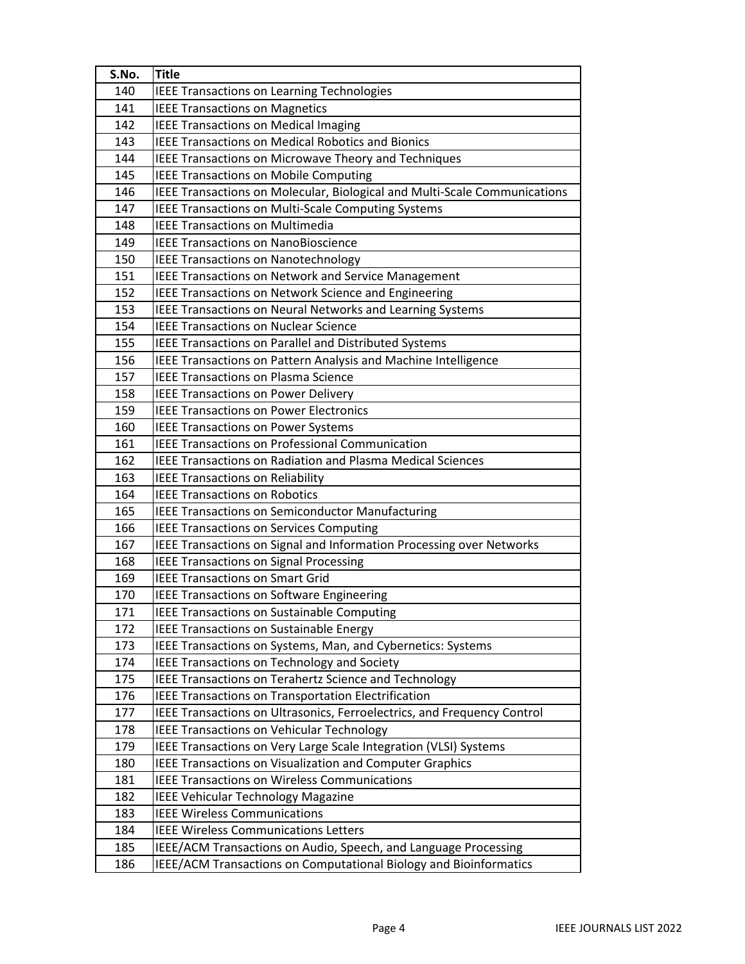| S.No.      | <b>Title</b>                                                              |
|------------|---------------------------------------------------------------------------|
| 140        | <b>IEEE Transactions on Learning Technologies</b>                         |
| 141        | <b>IEEE Transactions on Magnetics</b>                                     |
| 142        | <b>IEEE Transactions on Medical Imaging</b>                               |
| 143        | <b>IEEE Transactions on Medical Robotics and Bionics</b>                  |
| 144        | IEEE Transactions on Microwave Theory and Techniques                      |
| 145        | <b>IEEE Transactions on Mobile Computing</b>                              |
| 146        | IEEE Transactions on Molecular, Biological and Multi-Scale Communications |
| 147        | IEEE Transactions on Multi-Scale Computing Systems                        |
| 148        | <b>IEEE Transactions on Multimedia</b>                                    |
| 149        | <b>IEEE Transactions on NanoBioscience</b>                                |
| 150        | <b>IEEE Transactions on Nanotechnology</b>                                |
| 151        | <b>IEEE Transactions on Network and Service Management</b>                |
| 152        | IEEE Transactions on Network Science and Engineering                      |
| 153        | IEEE Transactions on Neural Networks and Learning Systems                 |
| 154        | <b>IEEE Transactions on Nuclear Science</b>                               |
| 155        | IEEE Transactions on Parallel and Distributed Systems                     |
| 156        | IEEE Transactions on Pattern Analysis and Machine Intelligence            |
| 157        | <b>IEEE Transactions on Plasma Science</b>                                |
| 158        | <b>IEEE Transactions on Power Delivery</b>                                |
| 159        | <b>IEEE Transactions on Power Electronics</b>                             |
| 160        | <b>IEEE Transactions on Power Systems</b>                                 |
| 161        | <b>IEEE Transactions on Professional Communication</b>                    |
| 162        | <b>IEEE Transactions on Radiation and Plasma Medical Sciences</b>         |
| 163        | <b>IEEE Transactions on Reliability</b>                                   |
| 164        | <b>IEEE Transactions on Robotics</b>                                      |
| 165        | <b>IEEE Transactions on Semiconductor Manufacturing</b>                   |
| 166        | <b>IEEE Transactions on Services Computing</b>                            |
| 167        | IEEE Transactions on Signal and Information Processing over Networks      |
| 168        | <b>IEEE Transactions on Signal Processing</b>                             |
| 169        | <b>IEEE Transactions on Smart Grid</b>                                    |
| 170        | <b>IEEE Transactions on Software Engineering</b>                          |
| 171        | IEEE Transactions on Sustainable Computing                                |
| 172        | <b>IEEE Transactions on Sustainable Energy</b>                            |
| 173        | IEEE Transactions on Systems, Man, and Cybernetics: Systems               |
| 174        | <b>IEEE Transactions on Technology and Society</b>                        |
| 175        | IEEE Transactions on Terahertz Science and Technology                     |
| 176        | IEEE Transactions on Transportation Electrification                       |
| 177        | IEEE Transactions on Ultrasonics, Ferroelectrics, and Frequency Control   |
| 178        | <b>IEEE Transactions on Vehicular Technology</b>                          |
| 179        | IEEE Transactions on Very Large Scale Integration (VLSI) Systems          |
| 180        | IEEE Transactions on Visualization and Computer Graphics                  |
| 181<br>182 | <b>IEEE Transactions on Wireless Communications</b>                       |
|            | <b>IEEE Vehicular Technology Magazine</b>                                 |
| 183        | <b>IEEE Wireless Communications</b>                                       |
| 184        | <b>IEEE Wireless Communications Letters</b>                               |
| 185        | IEEE/ACM Transactions on Audio, Speech, and Language Processing           |
| 186        | IEEE/ACM Transactions on Computational Biology and Bioinformatics         |